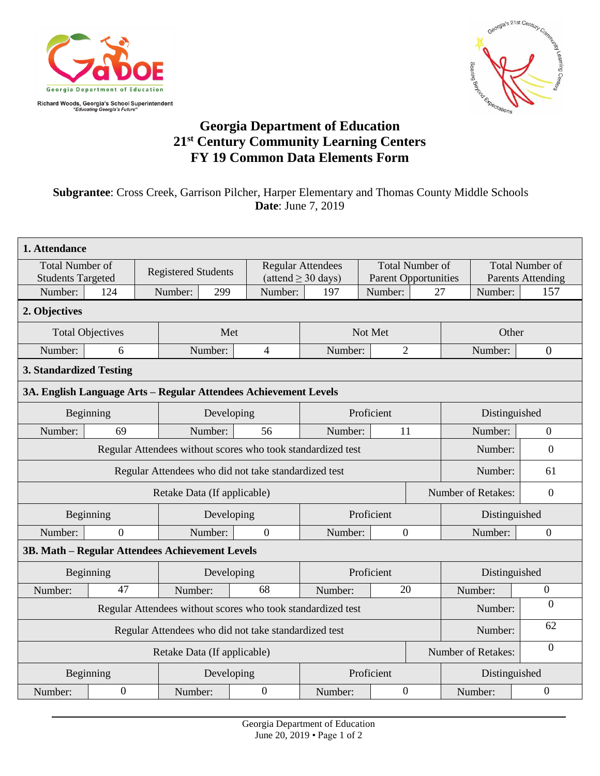



## **Georgia Department of Education 21st Century Community Learning Centers FY 19 Common Data Elements Form**

## **Subgrantee**: Cross Creek, Garrison Pilcher, Harper Elementary and Thomas County Middle Schools **Date**: June 7, 2019

| 1. Attendance                                                                          |           |            |                            |                |                                                     |                |                                                       |                                |                                                    |  |  |  |
|----------------------------------------------------------------------------------------|-----------|------------|----------------------------|----------------|-----------------------------------------------------|----------------|-------------------------------------------------------|--------------------------------|----------------------------------------------------|--|--|--|
| <b>Total Number of</b><br><b>Students Targeted</b>                                     |           |            | <b>Registered Students</b> |                | <b>Regular Attendees</b><br>(attend $\geq$ 30 days) |                | <b>Total Number of</b><br><b>Parent Opportunities</b> |                                | <b>Total Number of</b><br><b>Parents Attending</b> |  |  |  |
| Number:                                                                                | 124       | Number:    | 299                        | Number:        | 197                                                 | Number:        | 27                                                    | Number:                        | 157                                                |  |  |  |
| 2. Objectives                                                                          |           |            |                            |                |                                                     |                |                                                       |                                |                                                    |  |  |  |
| <b>Total Objectives</b>                                                                |           |            | Met                        |                |                                                     | Not Met        |                                                       | Other                          |                                                    |  |  |  |
| Number:                                                                                | 6         |            | Number:                    | $\overline{4}$ | Number:                                             | $\overline{2}$ |                                                       | Number:                        | $\theta$                                           |  |  |  |
| <b>3. Standardized Testing</b>                                                         |           |            |                            |                |                                                     |                |                                                       |                                |                                                    |  |  |  |
| 3A. English Language Arts - Regular Attendees Achievement Levels                       |           |            |                            |                |                                                     |                |                                                       |                                |                                                    |  |  |  |
|                                                                                        | Beginning |            |                            | Developing     | Proficient                                          |                |                                                       | Distinguished                  |                                                    |  |  |  |
| Number:                                                                                | 69        |            | Number:                    | 56             | Number:                                             | 11             |                                                       | Number:                        | $\theta$                                           |  |  |  |
| Regular Attendees without scores who took standardized test<br>Number:<br>$\mathbf{0}$ |           |            |                            |                |                                                     |                |                                                       |                                |                                                    |  |  |  |
|                                                                                        |           | Number:    | 61                         |                |                                                     |                |                                                       |                                |                                                    |  |  |  |
| Retake Data (If applicable)                                                            |           |            |                            |                |                                                     |                |                                                       | Number of Retakes:<br>$\theta$ |                                                    |  |  |  |
| Beginning                                                                              |           | Developing |                            | Proficient     |                                                     |                | Distinguished                                         |                                |                                                    |  |  |  |
| Number:                                                                                | $\Omega$  |            | Number:                    | $\theta$       | Number:                                             | $\theta$       |                                                       | Number:                        | $\theta$                                           |  |  |  |
| 3B. Math - Regular Attendees Achievement Levels                                        |           |            |                            |                |                                                     |                |                                                       |                                |                                                    |  |  |  |
| Beginning                                                                              |           | Developing |                            | Proficient     |                                                     |                | Distinguished                                         |                                |                                                    |  |  |  |
| Number:                                                                                | 47        |            | Number:                    | 68             | Number:                                             | 20             |                                                       | Number:                        | $\overline{0}$<br>$\overline{0}$                   |  |  |  |
| Regular Attendees without scores who took standardized test<br>Number:                 |           |            |                            |                |                                                     |                |                                                       |                                |                                                    |  |  |  |
| Regular Attendees who did not take standardized test                                   |           |            |                            |                |                                                     |                |                                                       | Number:                        | 62                                                 |  |  |  |
| Retake Data (If applicable)                                                            |           |            |                            |                |                                                     |                |                                                       | Number of Retakes:             | $\mathbf{0}$                                       |  |  |  |
| Beginning                                                                              |           | Developing |                            | Proficient     |                                                     |                | Distinguished                                         |                                |                                                    |  |  |  |
| Number:                                                                                | $\theta$  |            | Number:                    | $\Omega$       | Number:                                             | $\Omega$       |                                                       | Number:                        | $\Omega$                                           |  |  |  |